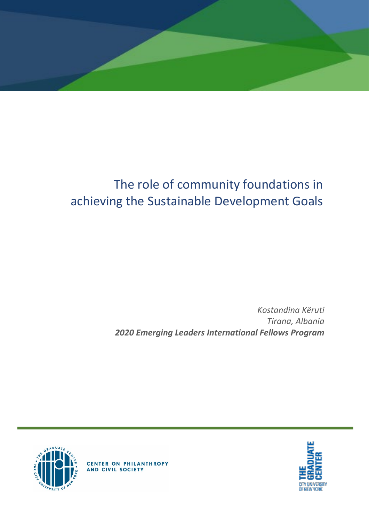

# The role of community foundations in achieving the Sustainable Development Goals

*Kostandina Këruti Tirana, Albania 2020 Emerging Leaders International Fellows Program*





**CENTER ON PHILANTHROPY**<br>AND CIVIL SOCIETY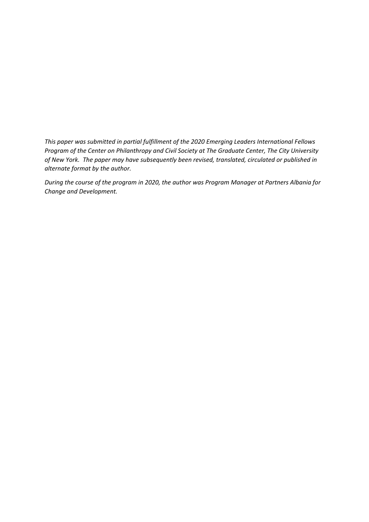*This paper was submitted in partial fulfillment of the 2020 Emerging Leaders International Fellows Program of the Center on Philanthropy and Civil Society at The Graduate Center, The City University of New York. The paper may have subsequently been revised, translated, circulated or published in alternate format by the author.*

*During the course of the program in 2020, the author was Program Manager at Partners Albania for Change and Development.*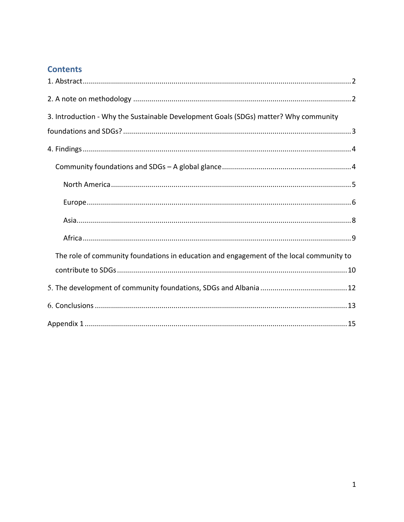### **Contents**

| 3. Introduction - Why the Sustainable Development Goals (SDGs) matter? Why community    |
|-----------------------------------------------------------------------------------------|
|                                                                                         |
|                                                                                         |
|                                                                                         |
|                                                                                         |
|                                                                                         |
|                                                                                         |
|                                                                                         |
| The role of community foundations in education and engagement of the local community to |
|                                                                                         |
|                                                                                         |
|                                                                                         |
|                                                                                         |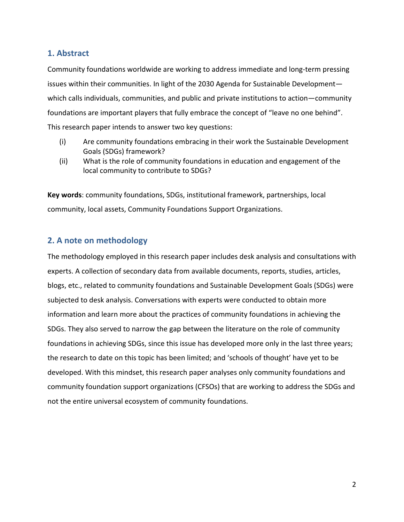### <span id="page-3-0"></span>**1. Abstract**

Community foundations worldwide are working to address immediate and long-term pressing issues within their communities. In light of the 2030 Agenda for Sustainable Development which calls individuals, communities, and public and private institutions to action—community foundations are important players that fully embrace the concept of "leave no one behind". This research paper intends to answer two key questions:

- (i) Are community foundations embracing in their work the Sustainable Development Goals (SDGs) framework?
- (ii) What is the role of community foundations in education and engagement of the local community to contribute to SDGs?

**Key words**: community foundations, SDGs, institutional framework, partnerships, local community, local assets, Community Foundations Support Organizations.

### <span id="page-3-1"></span>**2. A note on methodology**

The methodology employed in this research paper includes desk analysis and consultations with experts. A collection of secondary data from available documents, reports, studies, articles, blogs, etc., related to community foundations and Sustainable Development Goals (SDGs) were subjected to desk analysis. Conversations with experts were conducted to obtain more information and learn more about the practices of community foundations in achieving the SDGs. They also served to narrow the gap between the literature on the role of community foundations in achieving SDGs, since this issue has developed more only in the last three years; the research to date on this topic has been limited; and 'schools of thought' have yet to be developed. With this mindset, this research paper analyses only community foundations and community foundation support organizations (CFSOs) that are working to address the SDGs and not the entire universal ecosystem of community foundations.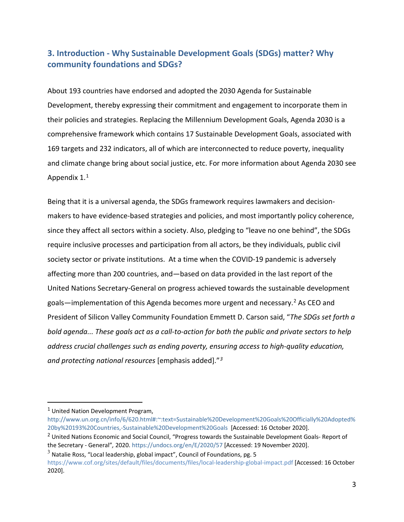### <span id="page-4-0"></span>**3. Introduction - Why Sustainable Development Goals (SDGs) matter? Why community foundations and SDGs?**

About 193 countries have endorsed and adopted the 2030 Agenda for Sustainable Development, thereby expressing their commitment and engagement to incorporate them in their policies and strategies. Replacing the Millennium Development Goals, Agenda 2030 is a comprehensive framework which contains 17 Sustainable Development Goals, associated with 169 targets and 232 indicators, all of which are interconnected to reduce poverty, inequality and climate change bring about social justice, etc. For more information about Agenda 2030 see Appendix 1.[1](#page-4-1)

Being that it is a universal agenda, the SDGs framework requires lawmakers and decisionmakers to have evidence-based strategies and policies, and most importantly policy coherence, since they affect all sectors within a society. Also, pledging to "leave no one behind", the SDGs require inclusive processes and participation from all actors, be they individuals, public civil society sector or private institutions. At a time when the COVID-19 pandemic is adversely affecting more than 200 countries, and—based on data provided in the last report of the United Nations Secretary-General on progress achieved towards the sustainable development goals—implementation of this Agenda becomes more urgent and necessary. [2](#page-4-2) As CEO and President of Silicon Valley Community Foundation Emmett D. Carson said, "*The SDGs set forth a bold agenda... These goals act as a call-to-action for both the public and private sectors to help address crucial challenges such as ending poverty, ensuring access to high-quality education, and protecting national resources* [emphasis added]."*[3](#page-4-3)*

<span id="page-4-2"></span><sup>2</sup> United Nations Economic and Social Council, "Progress towards the Sustainable Development Goals- Report of the Secretary - General"*,* 2020.<https://undocs.org/en/E/2020/57> [Accessed: 19 November 2020].

<span id="page-4-3"></span> $3$  Natalie Ross, "Local leadership, global impact", Council of Foundations, pg. 5 <https://www.cof.org/sites/default/files/documents/files/local-leadership-global-impact.pdf> [Accessed: 16 October 2020].

<span id="page-4-1"></span><sup>1</sup> United Nation Development Program,

[http://www.un.org.cn/info/6/620.html#:~:text=Sustainable%20Development%20Goals%20Officially%20Adopted%](http://www.un.org.cn/info/6/620.html#:%7E:text=Sustainable%20Development%20Goals%20Officially%20Adopted%20by%20193%20Countries,-Sustainable%20Development%20Goals) [20by%20193%20Countries,-Sustainable%20Development%20Goals](http://www.un.org.cn/info/6/620.html#:%7E:text=Sustainable%20Development%20Goals%20Officially%20Adopted%20by%20193%20Countries,-Sustainable%20Development%20Goals) [Accessed: 16 October 2020].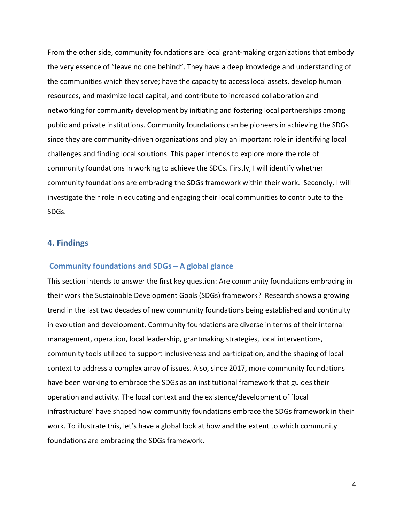From the other side, community foundations are local grant-making organizations that embody the very essence of "leave no one behind". They have a deep knowledge and understanding of the communities which they serve; have the capacity to access local assets, develop human resources, and maximize local capital; and contribute to increased collaboration and networking for community development by initiating and fostering local partnerships among public and private institutions. Community foundations can be pioneers in achieving the SDGs since they are community-driven organizations and play an important role in identifying local challenges and finding local solutions. This paper intends to explore more the role of community foundations in working to achieve the SDGs. Firstly, I will identify whether community foundations are embracing the SDGs framework within their work. Secondly, I will investigate their role in educating and engaging their local communities to contribute to the SDGs.

#### <span id="page-5-0"></span>**4. Findings**

#### <span id="page-5-1"></span>**Community foundations and SDGs – A global glance**

This section intends to answer the first key question: Are community foundations embracing in their work the Sustainable Development Goals (SDGs) framework? Research shows a growing trend in the last two decades of new community foundations being established and continuity in evolution and development. Community foundations are diverse in terms of their internal management, operation, local leadership, grantmaking strategies, local interventions, community tools utilized to support inclusiveness and participation, and the shaping of local context to address a complex array of issues. Also, since 2017, more community foundations have been working to embrace the SDGs as an institutional framework that guides their operation and activity. The local context and the existence/development of `local infrastructure' have shaped how community foundations embrace the SDGs framework in their work. To illustrate this, let's have a global look at how and the extent to which community foundations are embracing the SDGs framework.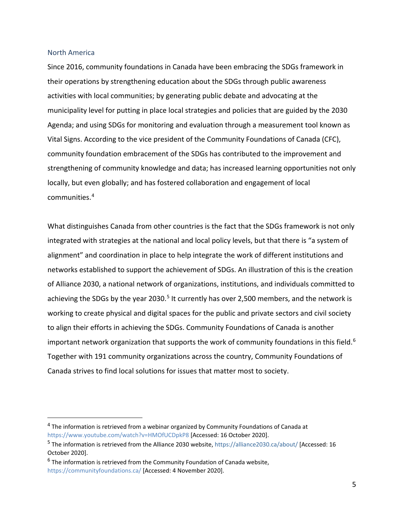#### <span id="page-6-0"></span>North America

Since 2016, community foundations in Canada have been embracing the SDGs framework in their operations by strengthening education about the SDGs through public awareness activities with local communities; by generating public debate and advocating at the municipality level for putting in place local strategies and policies that are guided by the 2030 Agenda; and using SDGs for monitoring and evaluation through a measurement tool known as Vital Signs. According to the vice president of the Community Foundations of Canada (CFC), community foundation embracement of the SDGs has contributed to the improvement and strengthening of community knowledge and data; has increased learning opportunities not only locally, but even globally; and has fostered collaboration and engagement of local communities. [4](#page-6-1)

What distinguishes Canada from other countries is the fact that the SDGs framework is not only integrated with strategies at the national and local policy levels, but that there is "a system of alignment" and coordination in place to help integrate the work of different institutions and networks established to support the achievement of SDGs. An illustration of this is the creation of Alliance 2030, a national network of organizations, institutions, and individuals committed to achieving the SDGs by the year 2030.<sup>[5](#page-6-2)</sup> It currently has over 2,500 members, and the network is working to create physical and digital spaces for the public and private sectors and civil society to align their efforts in achieving the SDGs. Community Foundations of Canada is another important network organization that supports the work of community foundations in this field.<sup>[6](#page-6-3)</sup> Together with 191 community organizations across the country, Community Foundations of Canada strives to find local solutions for issues that matter most to society.

<span id="page-6-1"></span><sup>4</sup> The information is retrieved from a webinar organized by Community Foundations of Canada at <https://www.youtube.com/watch?v=HMOfUCDpkP8> [Accessed: 16 October 2020].

<span id="page-6-2"></span><sup>5</sup> The information is retrieved from the Alliance 2030 website, <https://alliance2030.ca/about/> [Accessed: 16 October 2020].

<span id="page-6-3"></span> $6$  The information is retrieved from the Community Foundation of Canada website, <https://communityfoundations.ca/> [Accessed: 4 November 2020].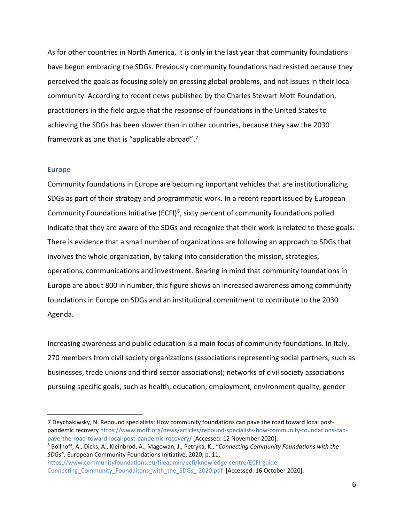As for other countries in North America, it is only in the last year that community foundations have begun embracing the SDGs. Previously community foundations had resisted because they perceived the goals as focusing solely on pressing global problems, and not issues in their local community. According to recent news published by the Charles Stewart Mott Foundation, practitioners in the field argue that the response of foundations in the United States to achieving the SDGs has been slower than in other countries, because they saw the 2030 framework as one that is "applicable abroad".[7](#page-7-1)

#### <span id="page-7-0"></span>Europe

Community foundations in Europe are becoming important vehicles that are institutionalizing SDGs as part of their strategy and programmatic work. In a recent report issued by European Community Foundations Initiative (ECFI)<sup>[8](#page-7-2)</sup>, sixty percent of community foundations polled indicate that they are aware of the SDGs and recognize that their work is related to these goals. There is evidence that a small number of organizations are following an approach to SDGs that involves the whole organization, by taking into consideration the mission, strategies, operations, communications and investment. Bearing in mind that community foundations in Europe are about 800 in number, this figure shows an increased awareness among community foundations in Europe on SDGs and an institutional commitment to contribute to the 2030 Agenda.

Increasing awareness and public education is a main focus of community foundations. In Italy, 270 members from civil society organizations (associations representing social partners, such as businesses, trade unions and third sector associations); networks of civil society associations pursuing specific goals, such as health, education, employment, environment quality, gender

<span id="page-7-1"></span><sup>7</sup> Deychakiwsky, N. Rebound specialists: How community foundations can pave the road toward local postpandemic recovery [https://www.mott.org/news/articles/rebound-specialists-how-community-foundations-can](https://www.mott.org/news/articles/rebound-specialists-how-community-foundations-can-pave-the-road-toward-local-post-pandemic-recovery/)[pave-the-road-toward-local-post-pandemic-recovery/](https://www.mott.org/news/articles/rebound-specialists-how-community-foundations-can-pave-the-road-toward-local-post-pandemic-recovery/) [Accessed: 12 November 2020].

<span id="page-7-2"></span><sup>8</sup> Böllhoff, A., Dicks, A., Kleinbrod, A., Magowan, J., Petryka, K., "*Connecting Community Foundations with the SDGs",* European Community Foundations Initiative, 2020, p. 11,

[https://www.communityfoundations.eu/fileadmin/ecfi/knowledge-centre/ECFI-guide-](https://www.communityfoundations.eu/fileadmin/ecfi/knowledge-centre/ECFI-guide-Connecting_Community_Foundaitons_with_the_SDGs_-2020.pdf)Connecting Community Foundaitons with the SDGs -2020.pdf [Accessed: 16 October 2020].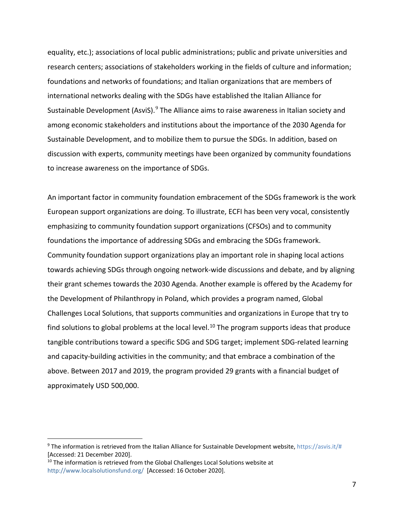equality, etc.); associations of local public administrations; public and private universities and research centers; associations of stakeholders working in the fields of culture and information; foundations and networks of foundations; and Italian organizations that are members of international networks dealing with the SDGs have established the Italian Alliance for Sustainable Development (AsviS). $9$  The Alliance aims to raise awareness in Italian society and among economic stakeholders and institutions about the importance of the 2030 Agenda for Sustainable Development, and to mobilize them to pursue the SDGs. In addition, based on discussion with experts, community meetings have been organized by community foundations to increase awareness on the importance of SDGs.

An important factor in community foundation embracement of the SDGs framework is the work European support organizations are doing. To illustrate, ECFI has been very vocal, consistently emphasizing to community foundation support organizations (CFSOs) and to community foundations the importance of addressing SDGs and embracing the SDGs framework. Community foundation support organizations play an important role in shaping local actions towards achieving SDGs through ongoing network-wide discussions and debate, and by aligning their grant schemes towards the 2030 Agenda. Another example is offered by the Academy for the Development of Philanthropy in Poland, which provides a program named, Global Challenges Local Solutions, that supports communities and organizations in Europe that try to find solutions to global problems at the local level.<sup>[10](#page-8-1)</sup> The program supports ideas that produce tangible contributions toward a specific SDG and SDG target; implement SDG-related learning and capacity-building activities in the community; and that embrace a combination of the above. Between 2017 and 2019, the program provided 29 grants with a financial budget of approximately USD 500,000.

<span id="page-8-0"></span><sup>&</sup>lt;sup>9</sup> The information is retrieved from the Italian Alliance for Sustainable Development website, [https://asvis.it/#](https://asvis.it/) [Accessed: 21 December 2020].

<span id="page-8-1"></span> $10$  The information is retrieved from the Global Challenges Local Solutions website at <http://www.localsolutionsfund.org/> [Accessed: 16 October 2020].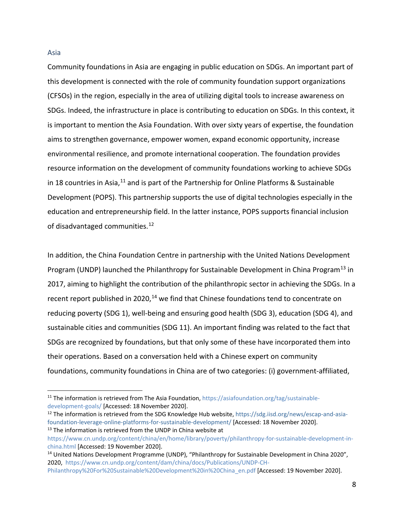#### <span id="page-9-0"></span>Asia

Community foundations in Asia are engaging in public education on SDGs. An important part of this development is connected with the role of community foundation support organizations (CFSOs) in the region, especially in the area of utilizing digital tools to increase awareness on SDGs. Indeed, the infrastructure in place is contributing to education on SDGs. In this context, it is important to mention the Asia Foundation. With over sixty years of expertise, the foundation aims to strengthen governance, empower women, expand economic opportunity, increase environmental resilience, and promote international cooperation. The foundation provides resource information on the development of community foundations working to achieve SDGs in 18 countries in Asia,  $11$  and is part of the Partnership for Online Platforms & Sustainable Development (POPS). This partnership supports the use of digital technologies especially in the education and entrepreneurship field. In the latter instance, POPS supports financial inclusion of disadvantaged communities.<sup>[12](#page-9-2)</sup>

In addition, the China Foundation Centre in partnership with the United Nations Development Program (UNDP) launched the Philanthropy for Sustainable Development in China Program<sup>[13](#page-9-3)</sup> in 2017, aiming to highlight the contribution of the philanthropic sector in achieving the SDGs. In a recent report published in 2020,<sup>[14](#page-9-4)</sup> we find that Chinese foundations tend to concentrate on reducing poverty (SDG 1), well-being and ensuring good health (SDG 3), education (SDG 4), and sustainable cities and communities (SDG 11). An important finding was related to the fact that SDGs are recognized by foundations, but that only some of these have incorporated them into their operations. Based on a conversation held with a Chinese expert on community foundations, community foundations in China are of two categories: (i) government-affiliated,

<span id="page-9-1"></span><sup>&</sup>lt;sup>11</sup> The information is retrieved from The Asia Foundation[, https://asiafoundation.org/tag/sustainable](https://asiafoundation.org/tag/sustainable-development-goals/)[development-goals/](https://asiafoundation.org/tag/sustainable-development-goals/) [Accessed: 18 November 2020].

<span id="page-9-2"></span><sup>12</sup> The information is retrieved from the SDG Knowledge Hub website, [https://sdg.iisd.org/news/escap-and-asia](https://sdg.iisd.org/news/escap-and-asia-foundation-leverage-online-platforms-for-sustainable-development/)[foundation-leverage-online-platforms-for-sustainable-development/](https://sdg.iisd.org/news/escap-and-asia-foundation-leverage-online-platforms-for-sustainable-development/) [Accessed: 18 November 2020].

<span id="page-9-3"></span><sup>&</sup>lt;sup>13</sup> The information is retrieved from the UNDP in China website at [https://www.cn.undp.org/content/china/en/home/library/poverty/philanthropy-for-sustainable-development-in](https://www.cn.undp.org/content/china/en/home/library/poverty/philanthropy-for-sustainable-development-in-china.html)[china.html](https://www.cn.undp.org/content/china/en/home/library/poverty/philanthropy-for-sustainable-development-in-china.html) [Accessed: 19 November 2020].

<span id="page-9-4"></span><sup>&</sup>lt;sup>14</sup> United Nations Development Programme (UNDP), "Philanthropy for Sustainable Development in China 2020", 2020, [https://www.cn.undp.org/content/dam/china/docs/Publications/UNDP-CH-](https://www.cn.undp.org/content/dam/china/docs/Publications/UNDP-CH-Philanthropy%20For%20Sustainable%20Development%20in%20China_en.pdf)

[Philanthropy%20For%20Sustainable%20Development%20in%20China\\_en.pdf](https://www.cn.undp.org/content/dam/china/docs/Publications/UNDP-CH-Philanthropy%20For%20Sustainable%20Development%20in%20China_en.pdf) [Accessed: 19 November 2020].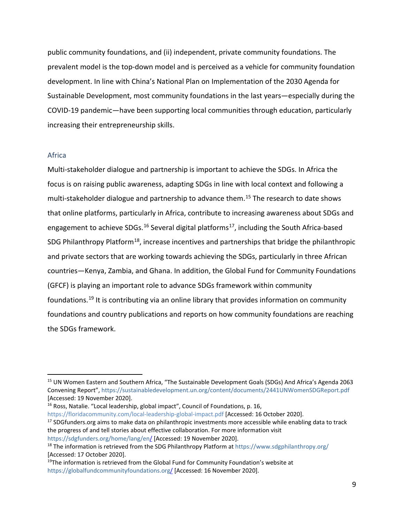public community foundations, and (ii) independent, private community foundations. The prevalent model is the top-down model and is perceived as a vehicle for community foundation development. In line with China's National Plan on Implementation of the 2030 Agenda for Sustainable Development, most community foundations in the last years—especially during the COVID-19 pandemic—have been supporting local communities through education, particularly increasing their entrepreneurship skills.

#### <span id="page-10-0"></span>Africa

Multi-stakeholder dialogue and partnership is important to achieve the SDGs. In Africa the focus is on raising public awareness, adapting SDGs in line with local context and following a multi-stakeholder dialogue and partnership to advance them. [15](#page-10-1) The research to date shows that online platforms, particularly in Africa, contribute to increasing awareness about SDGs and engagement to achieve SDGs.<sup>[16](#page-10-2)</sup> Several digital platforms<sup>[17](#page-10-3)</sup>, including the South Africa-based SDG Philanthropy Platform<sup>18</sup>, increase incentives and partnerships that bridge the philanthropic and private sectors that are working towards achieving the SDGs, particularly in three African countries—Kenya, Zambia, and Ghana. In addition, the Global Fund for Community Foundations (GFCF) is playing an important role to advance SDGs framework within community foundations.<sup>[19](#page-10-5)</sup> It is contributing via an online library that provides information on community foundations and country publications and reports on how community foundations are reaching the SDGs framework.

<span id="page-10-2"></span><sup>16</sup> Ross, Natalie. "Local leadership, global impact", Council of Foundations, p. 16, <https://floridacommunity.com/local-leadership-global-impact.pdf> [Accessed: 16 October 2020].

<span id="page-10-3"></span><sup>17</sup> SDGfunders.org aims to make data on philanthropic investments more accessible while enabling data to track the progress of and tell stories about effective collaboration. For more information visit <https://sdgfunders.org/home/lang/en/> [Accessed: 19 November 2020].

<span id="page-10-1"></span><sup>15</sup> UN Women Eastern and Southern Africa, "The Sustainable Development Goals (SDGs) And Africa's Agenda 2063 Convening Report", <https://sustainabledevelopment.un.org/content/documents/2441UNWomenSDGReport.pdf> [Accessed: 19 November 2020].

<span id="page-10-4"></span><sup>&</sup>lt;sup>18</sup> The information is retrieved from the SDG Philanthropy Platform at <https://www.sdgphilanthropy.org/> [Accessed: 17 October 2020].

<span id="page-10-5"></span><sup>&</sup>lt;sup>19</sup>The information is retrieved from the Global Fund for Community Foundation's website at <https://globalfundcommunityfoundations.org/> [Accessed: 16 November 2020].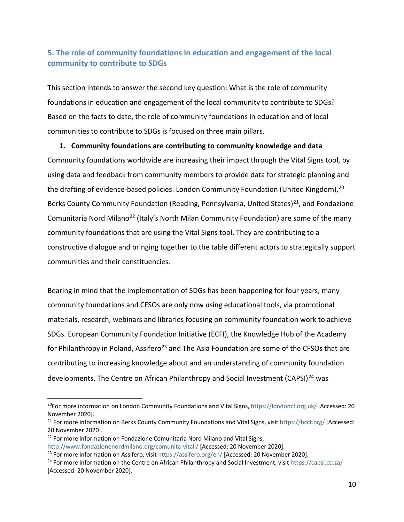### <span id="page-11-0"></span>**5. The role of community foundations in education and engagement of the local community to contribute to SDGs**

This section intends to answer the second key question: What is the role of community foundations in education and engagement of the local community to contribute to SDGs? Based on the facts to date, the role of community foundations in education and of local communities to contribute to SDGs is focused on three main pillars.

**1. Community foundations are contributing to community knowledge and data**  Community foundations worldwide are increasing their impact through the Vital Signs tool, by using data and feedback from community members to provide data for strategic planning and the drafting of evidence-based policies. London Community Foundation (United Kingdom), [20](#page-11-1) Berks County Community Foundation (Reading, Pennsylvania, United States) $^{21}$ , and Fondazione Comunitaria Nord Milano<sup>[22](#page-11-3)</sup> (Italy's North Milan Community Foundation) are some of the many community foundations that are using the Vital Signs tool. They are contributing to a constructive dialogue and bringing together to the table different actors to strategically support communities and their constituencies.

Bearing in mind that the implementation of SDGs has been happening for four years, many community foundations and CFSOs are only now using educational tools, via promotional materials, research, webinars and libraries focusing on community foundation work to achieve SDGs. European Community Foundation Initiative (ECFI), the Knowledge Hub of the Academy for Philanthropy in Poland, Assifero<sup>[23](#page-11-4)</sup> and The Asia Foundation are some of the CFSOs that are contributing to increasing knowledge about and an understanding of community foundation developments. The Centre on African Philanthropy and Social Investment (CAPSI)<sup>[24](#page-11-5)</sup> was

<span id="page-11-1"></span><sup>&</sup>lt;sup>20</sup>For more information on London Community Foundations and Vital Signs, <https://londoncf.org.uk/> [Accessed: 20 November 2020].

<span id="page-11-2"></span><sup>&</sup>lt;sup>21</sup> For more information on Berks County Community Foundations and Vital Signs, visit<https://bccf.org/> [Accessed: 20 November 2020].

<span id="page-11-3"></span> $22$  For more information on Fondazione Comunitaria Nord Milano and Vital Signs,

<http://www.fondazionenordmilano.org/comunita-vitali/> [Accessed: 20 November 2020].

<span id="page-11-4"></span><sup>&</sup>lt;sup>23</sup> For more information on Assifero, visit<https://assifero.org/en/> [Accessed: 20 November 2020].

<span id="page-11-5"></span><sup>&</sup>lt;sup>24</sup> For more information on the Centre on African Philanthropy and Social Investment, visi[t https://capsi.co.za/](https://capsi.co.za/) [Accessed: 20 November 2020].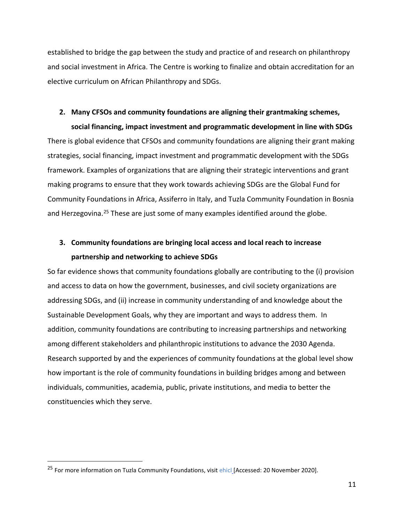established to bridge the gap between the study and practice of and research on philanthropy and social investment in Africa. The Centre is working to finalize and obtain accreditation for an elective curriculum on African Philanthropy and SDGs.

## **2. Many CFSOs and community foundations are aligning their grantmaking schemes,**

**social financing, impact investment and programmatic development in line with SDGs** 

There is global evidence that CFSOs and community foundations are aligning their grant making strategies, social financing, impact investment and programmatic development with the SDGs framework. Examples of organizations that are aligning their strategic interventions and grant making programs to ensure that they work towards achieving SDGs are the Global Fund for Community Foundations in Africa, Assiferro in Italy, and Tuzla Community Foundation in Bosnia and Herzegovina.<sup>[25](#page-12-0)</sup> These are just some of many examples identified around the globe.

### **3. Community foundations are bringing local access and local reach to increase partnership and networking to achieve SDGs**

So far evidence shows that community foundations globally are contributing to the (i) provision and access to data on how the government, businesses, and civil society organizations are addressing SDGs, and (ii) increase in community understanding of and knowledge about the Sustainable Development Goals, why they are important and ways to address them. In addition, community foundations are contributing to increasing partnerships and networking among different stakeholders and philanthropic institutions to advance the 2030 Agenda. Research supported by and the experiences of community foundations at the global level show how important is the role of community foundations in building bridges among and between individuals, communities, academia, public, private institutions, and media to better the constituencies which they serve.

<span id="page-12-0"></span><sup>&</sup>lt;sup>25</sup> For more information on Tuzla Community Foundations, visit [ehicl](https://www.fondacijatz.org/) [Accessed: 20 November 2020].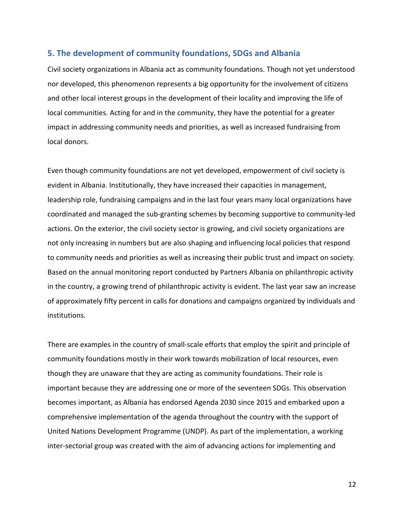#### <span id="page-13-0"></span>**5. The development of community foundations, SDGs and Albania**

Civil society organizations in Albania act as community foundations. Though not yet understood nor developed, this phenomenon represents a big opportunity for the involvement of citizens and other local interest groups in the development of their locality and improving the life of local communities. Acting for and in the community, they have the potential for a greater impact in addressing community needs and priorities, as well as increased fundraising from local donors.

Even though community foundations are not yet developed, empowerment of civil society is evident in Albania. Institutionally, they have increased their capacities in management, leadership role, fundraising campaigns and in the last four years many local organizations have coordinated and managed the sub-granting schemes by becoming supportive to community-led actions. On the exterior, the civil society sector is growing, and civil society organizations are not only increasing in numbers but are also shaping and influencing local policies that respond to community needs and priorities as well as increasing their public trust and impact on society. Based on the annual monitoring report conducted by Partners Albania on philanthropic activity in the country, a growing trend of philanthropic activity is evident. The last year saw an increase of approximately fifty percent in calls for donations and campaigns organized by individuals and institutions.

There are examples in the country of small-scale efforts that employ the spirit and principle of community foundations mostly in their work towards mobilization of local resources, even though they are unaware that they are acting as community foundations. Their role is important because they are addressing one or more of the seventeen SDGs. This observation becomes important, as Albania has endorsed Agenda 2030 since 2015 and embarked upon a comprehensive implementation of the agenda throughout the country with the support of United Nations Development Programme (UNDP). As part of the implementation, a working inter-sectorial group was created with the aim of advancing actions for implementing and

12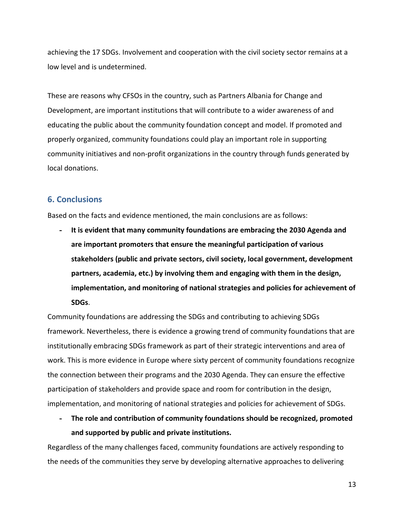achieving the 17 SDGs. Involvement and cooperation with the civil society sector remains at a low level and is undetermined.

These are reasons why CFSOs in the country, such as Partners Albania for Change and Development, are important institutions that will contribute to a wider awareness of and educating the public about the community foundation concept and model. If promoted and properly organized, community foundations could play an important role in supporting community initiatives and non-profit organizations in the country through funds generated by local donations.

### <span id="page-14-0"></span>**6. Conclusions**

Based on the facts and evidence mentioned, the main conclusions are as follows:

**- It is evident that many community foundations are embracing the 2030 Agenda and are important promoters that ensure the meaningful participation of various stakeholders (public and private sectors, civil society, local government, development partners, academia, etc.) by involving them and engaging with them in the design, implementation, and monitoring of national strategies and policies for achievement of SDGs**.

Community foundations are addressing the SDGs and contributing to achieving SDGs framework. Nevertheless, there is evidence a growing trend of community foundations that are institutionally embracing SDGs framework as part of their strategic interventions and area of work. This is more evidence in Europe where sixty percent of community foundations recognize the connection between their programs and the 2030 Agenda. They can ensure the effective participation of stakeholders and provide space and room for contribution in the design, implementation, and monitoring of national strategies and policies for achievement of SDGs.

**- The role and contribution of community foundations should be recognized, promoted and supported by public and private institutions.** 

Regardless of the many challenges faced, community foundations are actively responding to the needs of the communities they serve by developing alternative approaches to delivering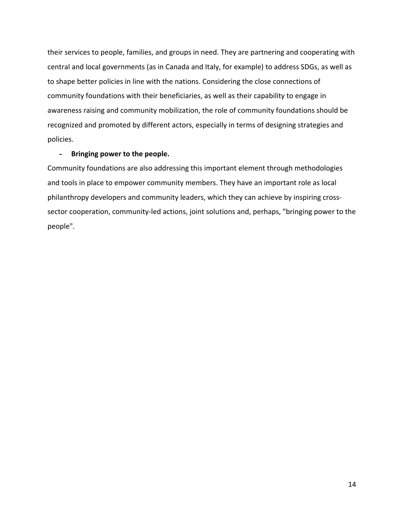their services to people, families, and groups in need. They are partnering and cooperating with central and local governments (as in Canada and Italy, for example) to address SDGs, as well as to shape better policies in line with the nations. Considering the close connections of community foundations with their beneficiaries, as well as their capability to engage in awareness raising and community mobilization, the role of community foundations should be recognized and promoted by different actors, especially in terms of designing strategies and policies.

#### **- Bringing power to the people.**

Community foundations are also addressing this important element through methodologies and tools in place to empower community members. They have an important role as local philanthropy developers and community leaders, which they can achieve by inspiring crosssector cooperation, community-led actions, joint solutions and, perhaps, "bringing power to the people".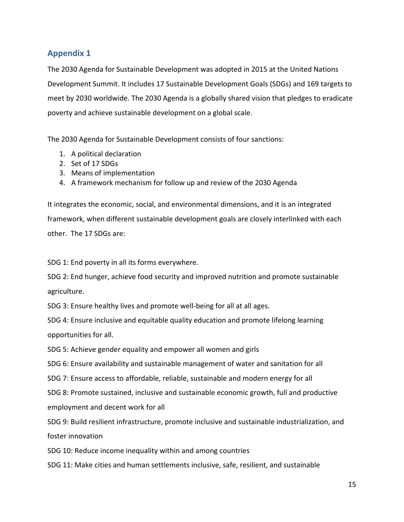### <span id="page-16-0"></span>**Appendix 1**

The 2030 Agenda for Sustainable Development was adopted in 2015 at the United Nations Development Summit. It includes 17 Sustainable Development Goals (SDGs) and 169 targets to meet by 2030 worldwide. The 2030 Agenda is a globally shared vision that pledges to eradicate poverty and achieve sustainable development on a global scale.

The 2030 Agenda for Sustainable Development consists of four sanctions:

- 1. A political declaration
- 2. Set of 17 SDGs
- 3. Means of implementation
- 4. A framework mechanism for follow up and review of the 2030 Agenda

It integrates the economic, social, and environmental dimensions, and it is an integrated framework, when different sustainable development goals are closely interlinked with each other. The 17 SDGs are:

SDG 1: End poverty in all its forms everywhere.

SDG 2: End hunger, achieve food security and improved nutrition and promote sustainable agriculture.

SDG 3: Ensure healthy lives and promote well-being for all at all ages.

SDG 4: Ensure inclusive and equitable quality education and promote lifelong learning opportunities for all.

SDG 5: Achieve [gender equality](https://en.wikipedia.org/wiki/Gender_equality) and empower all women and girls

SDG 6: Ensure availability and sustainable management of water and sanitation for all

SDG 7: Ensure access to affordable, reliable, sustainable and modern energy for all

SDG 8: Promote sustained, inclusive and sustainable economic growth, full and productive employment and decent work for all

SDG 9: Build resilient infrastructure, promote inclusive and sustainable industrialization, and foster innovation

SDG 10: Reduce [income inequality](https://en.wikipedia.org/wiki/Economic_inequality) within and among countries

SDG 11: Make cities and human settlements inclusive, safe, resilient, and sustainable